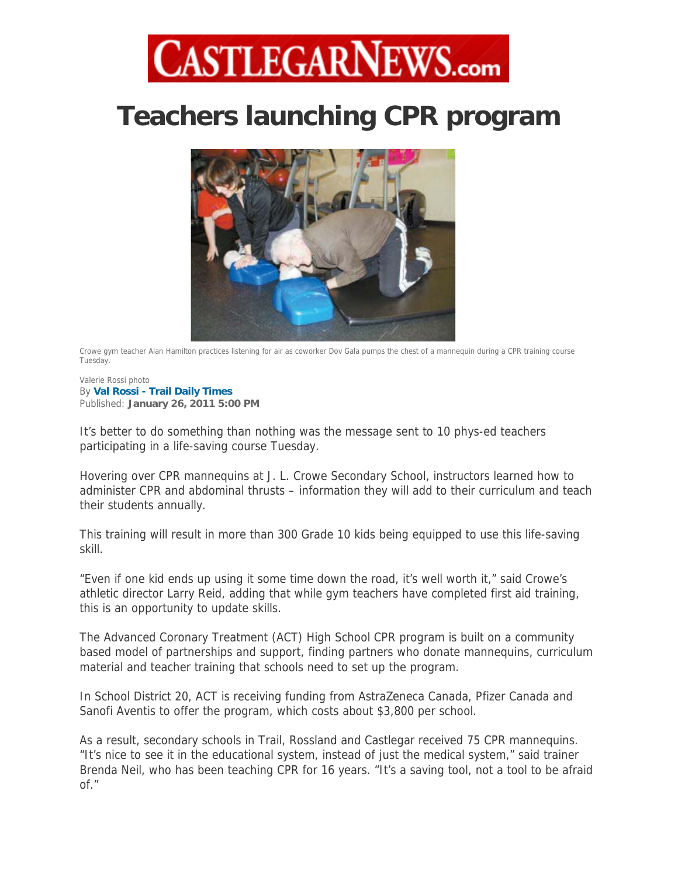## **CASTLEGARNEWS.com**

## **Teachers launching CPR program**



Crowe gym teacher Alan Hamilton practices listening for air as coworker Dov Gala pumps the chest of a mannequin during a CPR training course Tuesday.

Valerie Rossi photo By **Val Rossi - Trail Daily Times**  Published: **January 26, 2011 5:00 PM** 

It's better to do something than nothing was the message sent to 10 phys-ed teachers participating in a life-saving course Tuesday.

Hovering over CPR mannequins at J. L. Crowe Secondary School, instructors learned how to administer CPR and abdominal thrusts – information they will add to their curriculum and teach their students annually.

This training will result in more than 300 Grade 10 kids being equipped to use this life-saving skill.

"Even if one kid ends up using it some time down the road, it's well worth it," said Crowe's athletic director Larry Reid, adding that while gym teachers have completed first aid training, this is an opportunity to update skills.

The Advanced Coronary Treatment (ACT) High School CPR program is built on a community based model of partnerships and support, finding partners who donate mannequins, curriculum material and teacher training that schools need to set up the program.

In School District 20, ACT is receiving funding from AstraZeneca Canada, Pfizer Canada and Sanofi Aventis to offer the program, which costs about \$3,800 per school.

As a result, secondary schools in Trail, Rossland and Castlegar received 75 CPR mannequins. "It's nice to see it in the educational system, instead of just the medical system," said trainer Brenda Neil, who has been teaching CPR for 16 years. "It's a saving tool, not a tool to be afraid of."